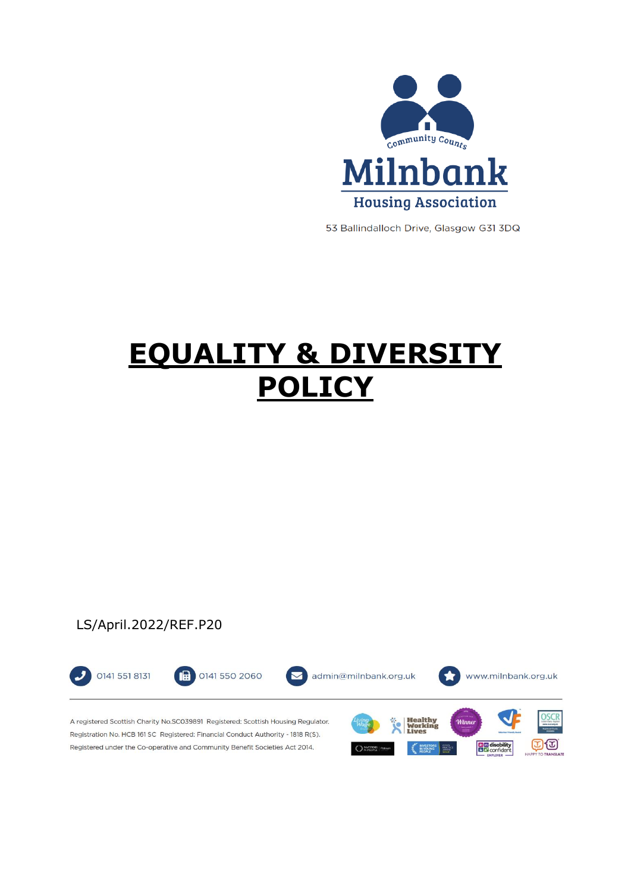

53 Ballindalloch Drive, Glasgow G31 3DQ

# **EQUALITY & DIVERSITY POLICY**

# LS/April.2022/REF.P20

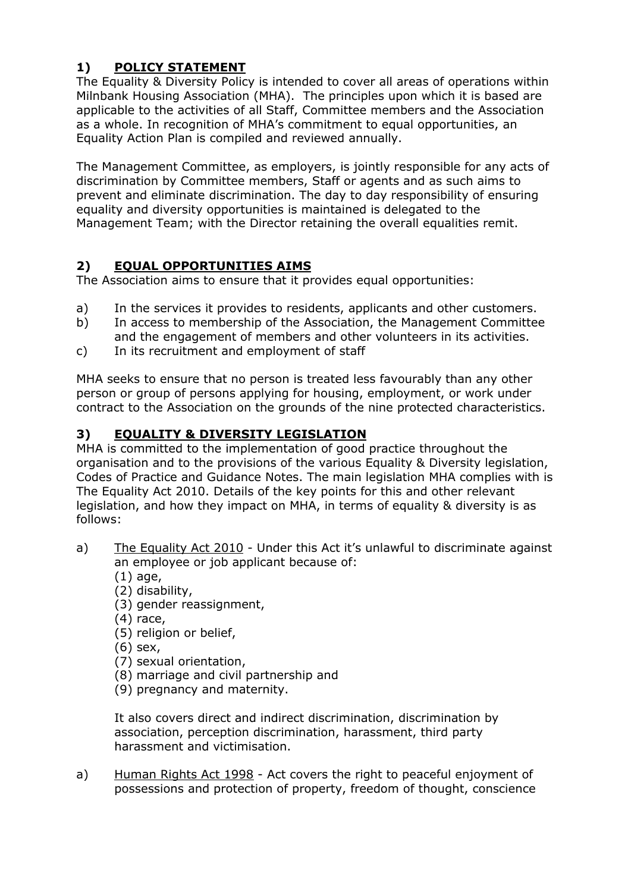# **1) POLICY STATEMENT**

The Equality & Diversity Policy is intended to cover all areas of operations within Milnbank Housing Association (MHA). The principles upon which it is based are applicable to the activities of all Staff, Committee members and the Association as a whole. In recognition of MHA's commitment to equal opportunities, an Equality Action Plan is compiled and reviewed annually.

The Management Committee, as employers, is jointly responsible for any acts of discrimination by Committee members, Staff or agents and as such aims to prevent and eliminate discrimination. The day to day responsibility of ensuring equality and diversity opportunities is maintained is delegated to the Management Team; with the Director retaining the overall equalities remit.

# **2) EQUAL OPPORTUNITIES AIMS**

The Association aims to ensure that it provides equal opportunities:

- a) In the services it provides to residents, applicants and other customers.
- b) In access to membership of the Association, the Management Committee and the engagement of members and other volunteers in its activities.
- c) In its recruitment and employment of staff

MHA seeks to ensure that no person is treated less favourably than any other person or group of persons applying for housing, employment, or work under contract to the Association on the grounds of the nine protected characteristics.

# **3) EQUALITY & DIVERSITY LEGISLATION**

MHA is committed to the implementation of good practice throughout the organisation and to the provisions of the various Equality & Diversity legislation, Codes of Practice and Guidance Notes. The main legislation MHA complies with is The Equality Act 2010. Details of the key points for this and other relevant legislation, and how they impact on MHA, in terms of equality & diversity is as follows:

- a) The Equality Act 2010 Under this Act it's unlawful to discriminate against an employee or job applicant because of:
	- (1) age,
	- (2) disability,
	- (3) gender reassignment,
	- (4) race,
	- (5) religion or belief,
	- (6) sex,
	- (7) sexual orientation,
	- (8) marriage and civil partnership and
	- (9) pregnancy and maternity.

It also covers direct and indirect discrimination, discrimination by association, perception discrimination, harassment, third party harassment and victimisation.

a) Human Rights Act 1998 - Act covers the right to peaceful enjoyment of possessions and protection of property, freedom of thought, conscience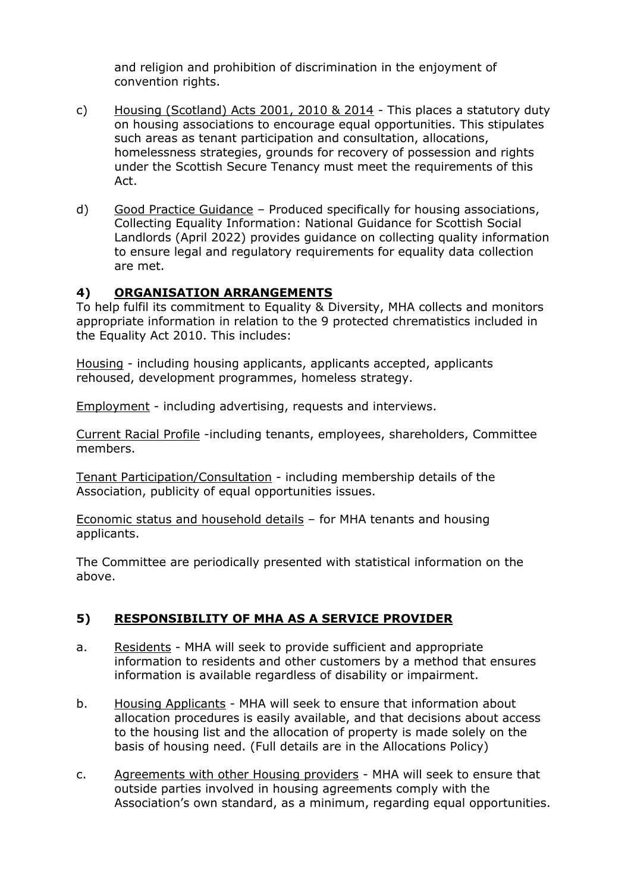and religion and prohibition of discrimination in the enjoyment of convention rights.

- c) Housing (Scotland) Acts 2001, 2010 & 2014 This places a statutory duty on housing associations to encourage equal opportunities. This stipulates such areas as tenant participation and consultation, allocations, homelessness strategies, grounds for recovery of possession and rights under the Scottish Secure Tenancy must meet the requirements of this Act.
- d) Good Practice Guidance Produced specifically for housing associations, Collecting Equality Information: National Guidance for Scottish Social Landlords (April 2022) provides guidance on collecting quality information to ensure legal and regulatory requirements for equality data collection are met.

#### **4) ORGANISATION ARRANGEMENTS**

To help fulfil its commitment to Equality & Diversity, MHA collects and monitors appropriate information in relation to the 9 protected chrematistics included in the Equality Act 2010. This includes:

Housing - including housing applicants, applicants accepted, applicants rehoused, development programmes, homeless strategy.

Employment - including advertising, requests and interviews.

Current Racial Profile -including tenants, employees, shareholders, Committee members.

Tenant Participation/Consultation - including membership details of the Association, publicity of equal opportunities issues.

Economic status and household details – for MHA tenants and housing applicants.

The Committee are periodically presented with statistical information on the above.

## **5) RESPONSIBILITY OF MHA AS A SERVICE PROVIDER**

- a. Residents MHA will seek to provide sufficient and appropriate information to residents and other customers by a method that ensures information is available regardless of disability or impairment.
- b. Housing Applicants MHA will seek to ensure that information about allocation procedures is easily available, and that decisions about access to the housing list and the allocation of property is made solely on the basis of housing need. (Full details are in the Allocations Policy)
- c. Agreements with other Housing providers MHA will seek to ensure that outside parties involved in housing agreements comply with the Association's own standard, as a minimum, regarding equal opportunities.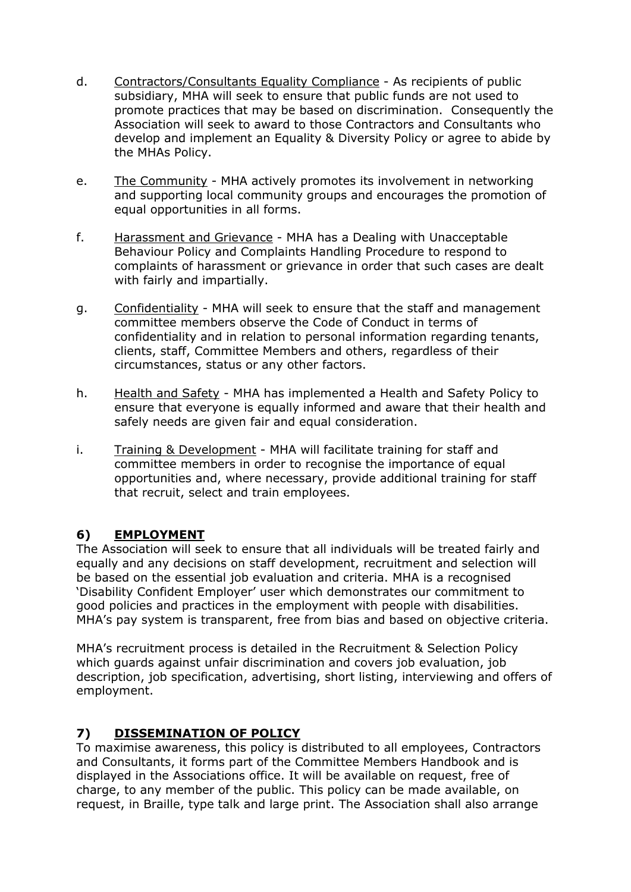- d. Contractors/Consultants Equality Compliance As recipients of public subsidiary, MHA will seek to ensure that public funds are not used to promote practices that may be based on discrimination. Consequently the Association will seek to award to those Contractors and Consultants who develop and implement an Equality & Diversity Policy or agree to abide by the MHAs Policy.
- e. The Community MHA actively promotes its involvement in networking and supporting local community groups and encourages the promotion of equal opportunities in all forms.
- f. Harassment and Grievance MHA has a Dealing with Unacceptable Behaviour Policy and Complaints Handling Procedure to respond to complaints of harassment or grievance in order that such cases are dealt with fairly and impartially.
- g. Confidentiality MHA will seek to ensure that the staff and management committee members observe the Code of Conduct in terms of confidentiality and in relation to personal information regarding tenants, clients, staff, Committee Members and others, regardless of their circumstances, status or any other factors.
- h. Health and Safety MHA has implemented a Health and Safety Policy to ensure that everyone is equally informed and aware that their health and safely needs are given fair and equal consideration.
- i. Training & Development MHA will facilitate training for staff and committee members in order to recognise the importance of equal opportunities and, where necessary, provide additional training for staff that recruit, select and train employees.

## **6) EMPLOYMENT**

The Association will seek to ensure that all individuals will be treated fairly and equally and any decisions on staff development, recruitment and selection will be based on the essential job evaluation and criteria. MHA is a recognised 'Disability Confident Employer' user which demonstrates our commitment to good policies and practices in the employment with people with disabilities. MHA's pay system is transparent, free from bias and based on objective criteria.

MHA's recruitment process is detailed in the Recruitment & Selection Policy which guards against unfair discrimination and covers job evaluation, job description, job specification, advertising, short listing, interviewing and offers of employment.

## **7) DISSEMINATION OF POLICY**

To maximise awareness, this policy is distributed to all employees, Contractors and Consultants, it forms part of the Committee Members Handbook and is displayed in the Associations office. It will be available on request, free of charge, to any member of the public. This policy can be made available, on request, in Braille, type talk and large print. The Association shall also arrange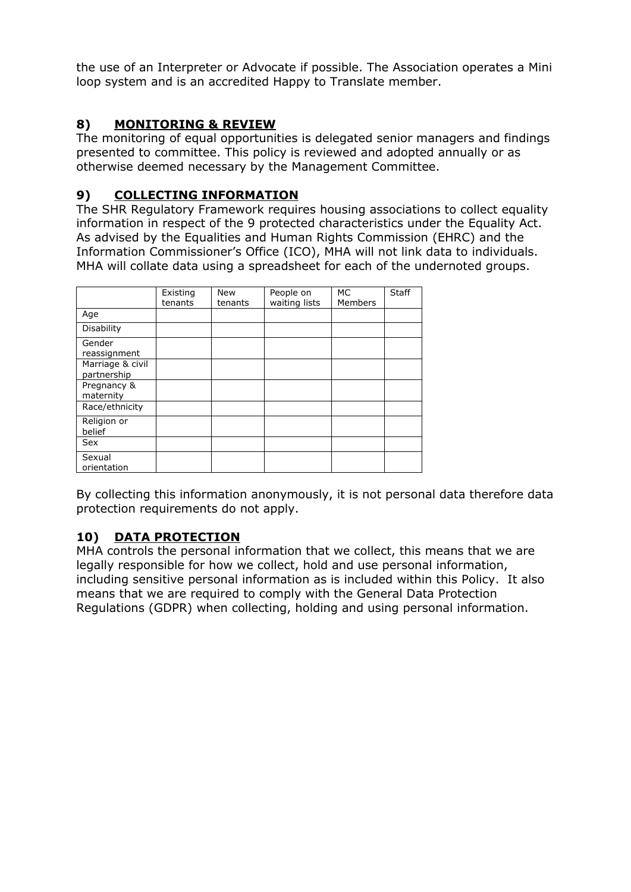the use of an Interpreter or Advocate if possible. The Association operates a Mini loop system and is an accredited Happy to Translate member.

# **8) MONITORING & REVIEW**

The monitoring of equal opportunities is delegated senior managers and findings presented to committee. This policy is reviewed and adopted annually or as otherwise deemed necessary by the Management Committee.

## **9) COLLECTING INFORMATION**

The SHR Regulatory Framework requires housing associations to collect equality information in respect of the 9 protected characteristics under the Equality Act. As advised by the Equalities and Human Rights Commission (EHRC) and the Information Commissioner's Office (ICO), MHA will not link data to individuals. MHA will collate data using a spreadsheet for each of the undernoted groups.

|                                 | Existing<br>tenants | <b>New</b><br>tenants | People on<br>waiting lists | МC<br>Members | <b>Staff</b> |
|---------------------------------|---------------------|-----------------------|----------------------------|---------------|--------------|
| Age                             |                     |                       |                            |               |              |
| <b>Disability</b>               |                     |                       |                            |               |              |
| Gender<br>reassignment          |                     |                       |                            |               |              |
| Marriage & civil<br>partnership |                     |                       |                            |               |              |
| Pregnancy &<br>maternity        |                     |                       |                            |               |              |
| Race/ethnicity                  |                     |                       |                            |               |              |
| Religion or<br>belief           |                     |                       |                            |               |              |
| Sex                             |                     |                       |                            |               |              |
| Sexual<br>orientation           |                     |                       |                            |               |              |

By collecting this information anonymously, it is not personal data therefore data protection requirements do not apply.

## **10) DATA PROTECTION**

MHA controls the personal information that we collect, this means that we are legally responsible for how we collect, hold and use personal information, including sensitive personal information as is included within this Policy. It also means that we are required to comply with the General Data Protection Regulations (GDPR) when collecting, holding and using personal information.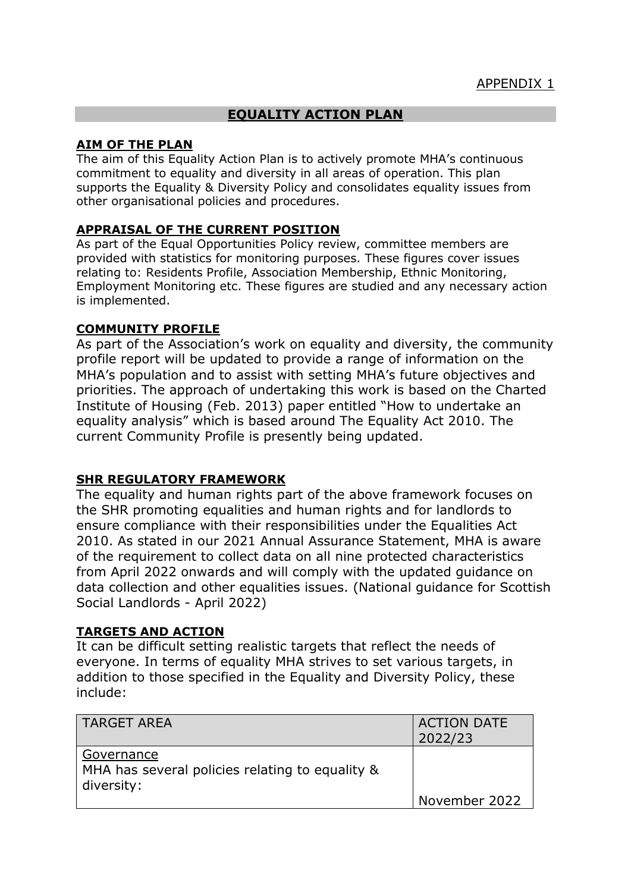## **EQUALITY ACTION PLAN**

#### **AIM OF THE PLAN**

The aim of this Equality Action Plan is to actively promote MHA's continuous commitment to equality and diversity in all areas of operation. This plan supports the Equality & Diversity Policy and consolidates equality issues from other organisational policies and procedures.

#### **APPRAISAL OF THE CURRENT POSITION**

As part of the Equal Opportunities Policy review, committee members are provided with statistics for monitoring purposes. These figures cover issues relating to: Residents Profile, Association Membership, Ethnic Monitoring, Employment Monitoring etc. These figures are studied and any necessary action is implemented.

#### **COMMUNITY PROFILE**

As part of the Association's work on equality and diversity, the community profile report will be updated to provide a range of information on the MHA's population and to assist with setting MHA's future objectives and priorities. The approach of undertaking this work is based on the Charted Institute of Housing (Feb. 2013) paper entitled "How to undertake an equality analysis" which is based around The Equality Act 2010. The current Community Profile is presently being updated.

#### **SHR REGULATORY FRAMEWORK**

The equality and human rights part of the above framework focuses on the SHR promoting equalities and human rights and for landlords to ensure compliance with their responsibilities under the Equalities Act 2010. As stated in our 2021 Annual Assurance Statement, MHA is aware of the requirement to collect data on all nine protected characteristics from April 2022 onwards and will comply with the updated guidance on data collection and other equalities issues. (National guidance for Scottish Social Landlords - April 2022)

#### **TARGETS AND ACTION**

It can be difficult setting realistic targets that reflect the needs of everyone. In terms of equality MHA strives to set various targets, in addition to those specified in the Equality and Diversity Policy, these include:

| l TARGET AREA                                                               | <b>ACTION DATE</b><br>2022/23 |
|-----------------------------------------------------------------------------|-------------------------------|
| Governance<br>MHA has several policies relating to equality &<br>diversity: |                               |
|                                                                             | November 2022                 |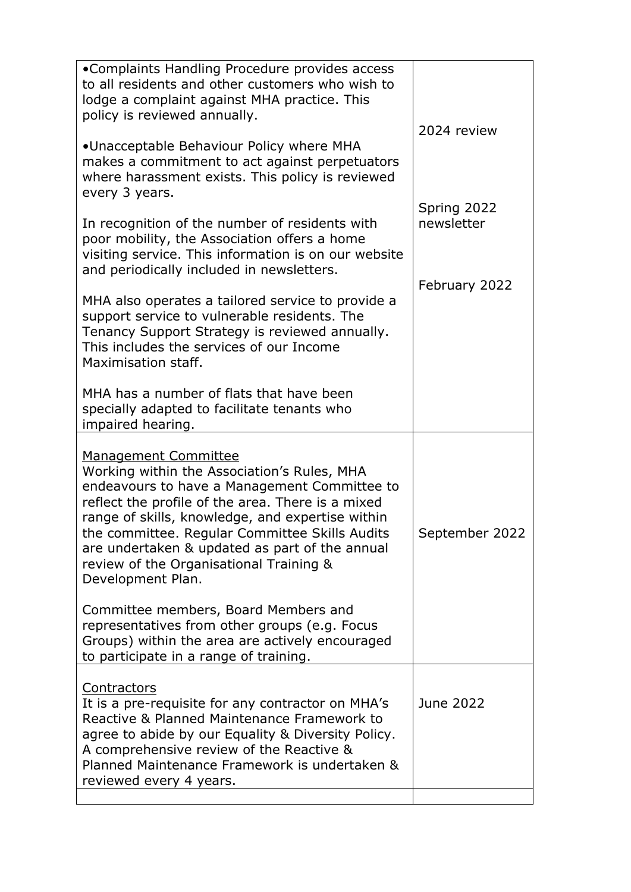| •Complaints Handling Procedure provides access<br>to all residents and other customers who wish to<br>lodge a complaint against MHA practice. This<br>policy is reviewed annually.                                                                                                                                                                                                                      |                                            |  |
|---------------------------------------------------------------------------------------------------------------------------------------------------------------------------------------------------------------------------------------------------------------------------------------------------------------------------------------------------------------------------------------------------------|--------------------------------------------|--|
| •Unacceptable Behaviour Policy where MHA<br>makes a commitment to act against perpetuators<br>where harassment exists. This policy is reviewed                                                                                                                                                                                                                                                          | 2024 review                                |  |
| every 3 years.<br>In recognition of the number of residents with<br>poor mobility, the Association offers a home<br>visiting service. This information is on our website<br>and periodically included in newsletters.                                                                                                                                                                                   | Spring 2022<br>newsletter<br>February 2022 |  |
| MHA also operates a tailored service to provide a<br>support service to vulnerable residents. The<br>Tenancy Support Strategy is reviewed annually.<br>This includes the services of our Income<br>Maximisation staff.                                                                                                                                                                                  |                                            |  |
| MHA has a number of flats that have been<br>specially adapted to facilitate tenants who<br>impaired hearing.                                                                                                                                                                                                                                                                                            |                                            |  |
|                                                                                                                                                                                                                                                                                                                                                                                                         |                                            |  |
| <b>Management Committee</b><br>Working within the Association's Rules, MHA<br>endeavours to have a Management Committee to<br>reflect the profile of the area. There is a mixed<br>range of skills, knowledge, and expertise within<br>the committee. Regular Committee Skills Audits<br>are undertaken & updated as part of the annual<br>review of the Organisational Training &<br>Development Plan. | September 2022                             |  |
| Committee members, Board Members and<br>representatives from other groups (e.g. Focus<br>Groups) within the area are actively encouraged<br>to participate in a range of training.                                                                                                                                                                                                                      |                                            |  |
| Contractors<br>It is a pre-requisite for any contractor on MHA's<br>Reactive & Planned Maintenance Framework to<br>agree to abide by our Equality & Diversity Policy.<br>A comprehensive review of the Reactive &<br>Planned Maintenance Framework is undertaken &<br>reviewed every 4 years.                                                                                                           | June 2022                                  |  |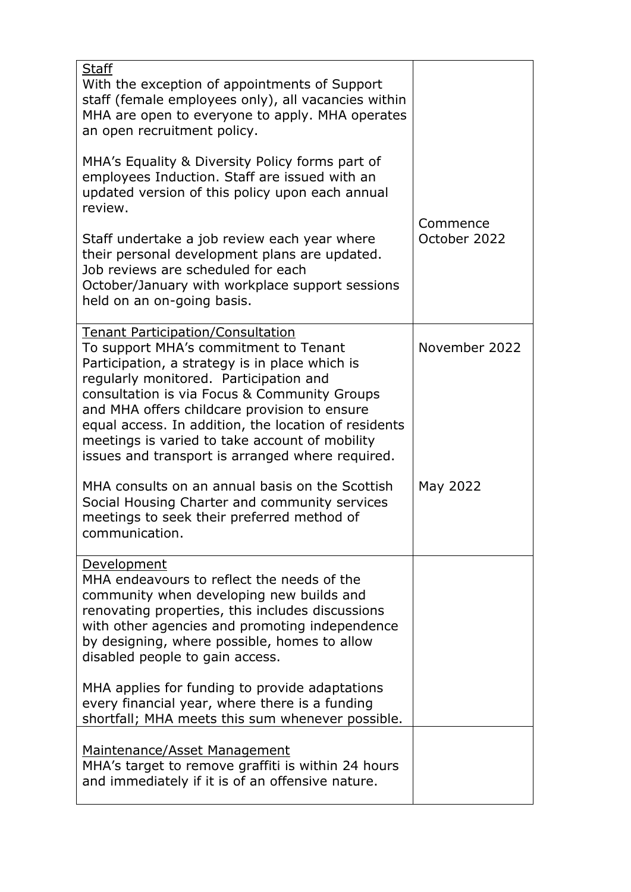| <b>Staff</b><br>With the exception of appointments of Support<br>staff (female employees only), all vacancies within<br>MHA are open to everyone to apply. MHA operates<br>an open recruitment policy.                                                                                                                                                                                                                                      |                          |
|---------------------------------------------------------------------------------------------------------------------------------------------------------------------------------------------------------------------------------------------------------------------------------------------------------------------------------------------------------------------------------------------------------------------------------------------|--------------------------|
| MHA's Equality & Diversity Policy forms part of<br>employees Induction. Staff are issued with an<br>updated version of this policy upon each annual<br>review.                                                                                                                                                                                                                                                                              |                          |
| Staff undertake a job review each year where<br>their personal development plans are updated.<br>Job reviews are scheduled for each<br>October/January with workplace support sessions<br>held on an on-going basis.                                                                                                                                                                                                                        | Commence<br>October 2022 |
| <b>Tenant Participation/Consultation</b><br>To support MHA's commitment to Tenant<br>Participation, a strategy is in place which is<br>regularly monitored. Participation and<br>consultation is via Focus & Community Groups<br>and MHA offers childcare provision to ensure<br>equal access. In addition, the location of residents<br>meetings is varied to take account of mobility<br>issues and transport is arranged where required. | November 2022            |
| MHA consults on an annual basis on the Scottish<br>Social Housing Charter and community services<br>meetings to seek their preferred method of<br>communication                                                                                                                                                                                                                                                                             | May 2022                 |
| Development<br>MHA endeavours to reflect the needs of the<br>community when developing new builds and<br>renovating properties, this includes discussions<br>with other agencies and promoting independence<br>by designing, where possible, homes to allow<br>disabled people to gain access.                                                                                                                                              |                          |
| MHA applies for funding to provide adaptations<br>every financial year, where there is a funding<br>shortfall; MHA meets this sum whenever possible.                                                                                                                                                                                                                                                                                        |                          |
| Maintenance/Asset Management<br>MHA's target to remove graffiti is within 24 hours<br>and immediately if it is of an offensive nature.                                                                                                                                                                                                                                                                                                      |                          |